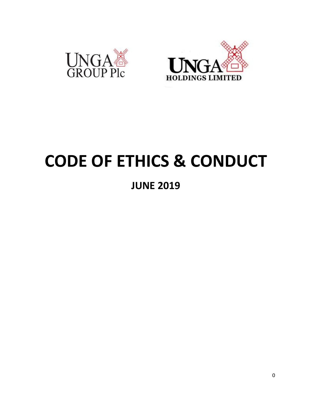



# **CODE OF ETHICS & CONDUCT**

**JUNE 2019**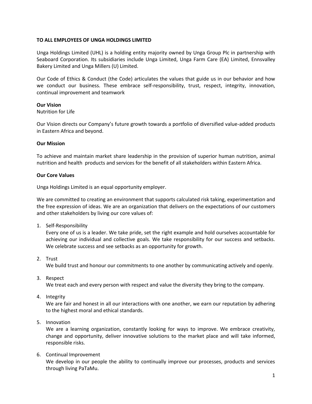## **TO ALL EMPLOYEES OF UNGA HOLDINGS LIMITED**

Unga Holdings Limited (UHL) is a holding entity majority owned by Unga Group Plc in partnership with Seaboard Corporation. Its subsidiaries include Unga Limited, Unga Farm Care (EA) Limited, Ennsvalley Bakery Limited and Unga Millers (U) Limited.

Our Code of Ethics & Conduct (the Code) articulates the values that guide us in our behavior and how we conduct our business. These embrace self-responsibility, trust, respect, integrity, innovation, continual improvement and teamwork

## **Our Vision**

## Nutrition for Life

Our Vision directs our Company's future growth towards a portfolio of diversified value-added products in Eastern Africa and beyond.

## **Our Mission**

To achieve and maintain market share leadership in the provision of superior human nutrition, animal nutrition and health products and services for the benefit of all stakeholders within Eastern Africa.

# **Our Core Values**

Unga Holdings Limited is an equal opportunity employer.

We are committed to creating an environment that supports calculated risk taking, experimentation and the free expression of ideas. We are an organization that delivers on the expectations of our customers and other stakeholders by living our core values of:

1. Self-Responsibility

Every one of us is a leader. We take pride, set the right example and hold ourselves accountable for achieving our individual and collective goals. We take responsibility for our success and setbacks. We celebrate success and see setbacks as an opportunity for growth.

2. Trust

We build trust and honour our commitments to one another by communicating actively and openly.

3. Respect

We treat each and every person with respect and value the diversity they bring to the company.

4. Integrity

We are fair and honest in all our interactions with one another, we earn our reputation by adhering to the highest moral and ethical standards.

5. Innovation

We are a learning organization, constantly looking for ways to improve. We embrace creativity, change and opportunity, deliver innovative solutions to the market place and will take informed, responsible risks.

6. Continual Improvement

We develop in our people the ability to continually improve our processes, products and services through living PaTaMu.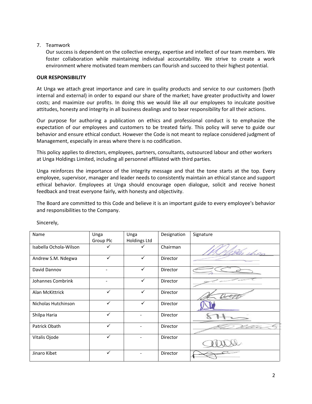## 7. Teamwork

Our success is dependent on the collective energy, expertise and intellect of our team members. We foster collaboration while maintaining individual accountability. We strive to create a work environment where motivated team members can flourish and succeed to their highest potential.

#### **OUR RESPONSIBILITY**

At Unga we attach great importance and care in quality products and service to our customers (both internal and external) in order to expand our share of the market; have greater productivity and lower costs; and maximize our profits. In doing this we would like all our employees to inculcate positive attitudes, honesty and integrity in all business dealings and to bear responsibility for all their actions.

Our purpose for authoring a publication on ethics and professional conduct is to emphasize the expectation of our employees and customers to be treated fairly. This policy will serve to guide our behavior and ensure ethical conduct. However the Code is not meant to replace considered judgment of Management, especially in areas where there is no codification.

This policy applies to directors, employees, partners, consultants, outsourced labour and other workers at Unga Holdings Limited, including all personnel affiliated with third parties.

Unga reinforces the importance of the integrity message and that the tone starts at the top. Every employee, supervisor, manager and leader needs to consistently maintain an ethical stance and support ethical behavior. Employees at Unga should encourage open dialogue, solicit and receive honest feedback and treat everyone fairly, with honesty and objectivity.

The Board are committed to this Code and believe it is an important guide to every employee's behavior and responsibilities to the Company.

| Name                   | Unga         | Unga                | Designation | Signature |
|------------------------|--------------|---------------------|-------------|-----------|
|                        | Group Plc    | <b>Holdings Ltd</b> |             |           |
| Isabella Ochola-Wilson |              |                     | Chairman    |           |
| Andrew S.M. Ndegwa     | ✓            | $\checkmark$        | Director    |           |
| David Dannov           |              | $\checkmark$        | Director    |           |
| Johannes Combrink      |              | $\checkmark$        | Director    |           |
| Alan McKittrick        | ✓            | $\checkmark$        | Director    |           |
| Nicholas Hutchinson    | $\checkmark$ | $\checkmark$        | Director    |           |
| Shilpa Haria           | ✓            |                     | Director    |           |
| Patrick Obath          | $\checkmark$ |                     | Director    |           |
| Vitalis Ojode          |              |                     | Director    |           |
| Jinaro Kibet           | $\checkmark$ |                     | Director    |           |

Sincerely,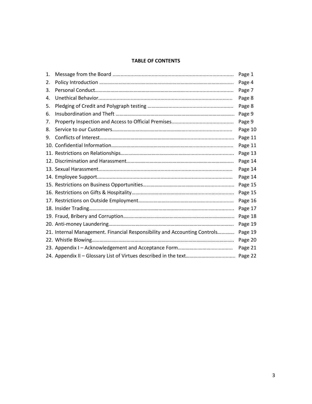# **TABLE OF CONTENTS**

| 1. |                                                                           | Page 1  |
|----|---------------------------------------------------------------------------|---------|
| 2. |                                                                           | Page 4  |
| 3. |                                                                           | Page 7  |
| 4. |                                                                           | Page 8  |
| 5. |                                                                           | Page 8  |
| 6. |                                                                           | Page 9  |
| 7. |                                                                           | Page 9  |
| 8. |                                                                           | Page 10 |
| 9. |                                                                           | Page 11 |
|    |                                                                           | Page 11 |
|    |                                                                           | Page 13 |
|    |                                                                           | Page 14 |
|    |                                                                           | Page 14 |
|    |                                                                           | Page 14 |
|    |                                                                           | Page 15 |
|    |                                                                           | Page 15 |
|    |                                                                           | Page 16 |
|    |                                                                           | Page 17 |
|    |                                                                           | Page 18 |
|    |                                                                           | Page 19 |
|    | 21. Internal Management. Financial Responsibility and Accounting Controls | Page 19 |
|    |                                                                           | Page 20 |
|    |                                                                           | Page 21 |
|    |                                                                           |         |
|    |                                                                           |         |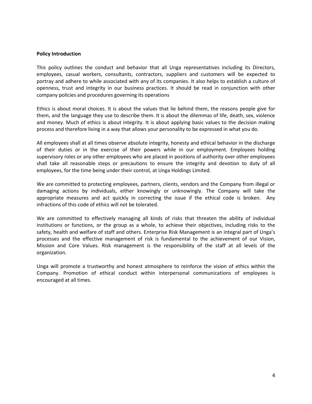#### **Policy Introduction**

This policy outlines the conduct and behavior that all Unga representatives including its Directors, employees, casual workers, consultants, contractors, suppliers and customers will be expected to portray and adhere to while associated with any of its companies. It also helps to establish a culture of openness, trust and integrity in our business practices. It should be read in conjunction with other company policies and procedures governing its operations

Ethics is about moral choices. It is about the values that lie behind them, the reasons people give for them, and the language they use to describe them. It is about the dilemmas of life, death, sex, violence and money. Much of ethics is about integrity. It is about applying basic values to the decision making process and therefore living in a way that allows your personality to be expressed in what you do.

All employees shall at all times observe absolute integrity, honesty and ethical behavior in the discharge of their duties or in the exercise of their powers while in our employment. Employees holding supervisory roles or any other employees who are placed in positions of authority over other employees shall take all reasonable steps or precautions to ensure the integrity and devotion to duty of all employees, for the time being under their control, at Unga Holdings Limited.

We are committed to protecting employees, partners, clients, vendors and the Company from illegal or damaging actions by individuals, either knowingly or unknowingly. The Company will take the appropriate measures and act quickly in correcting the issue if the ethical code is broken. Any infractions of this code of ethics will not be tolerated.

We are committed to effectively managing all kinds of risks that threaten the ability of individual institutions or functions, or the group as a whole, to achieve their objectives, including risks to the safety, health and welfare of staff and others. Enterprise Risk Management is an integral part of Unga's processes and the effective management of risk is fundamental to the achievement of our Vision, Mission and Core Values. Risk management is the responsibility of the staff at all levels of the organization.

Unga will promote a trustworthy and honest atmosphere to reinforce the vision of ethics within the Company. Promotion of ethical conduct within interpersonal communications of employees is encouraged at all times.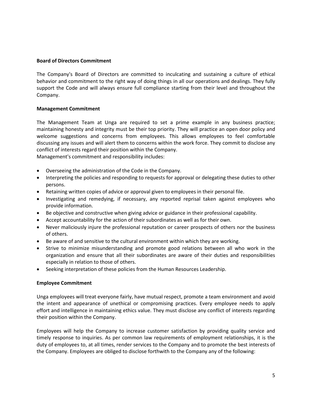#### **Board of Directors Commitment**

The Company's Board of Directors are committed to inculcating and sustaining a culture of ethical behavior and commitment to the right way of doing things in all our operations and dealings. They fully support the Code and will always ensure full compliance starting from their level and throughout the Company.

#### **Management Commitment**

The Management Team at Unga are required to set a prime example in any business practice; maintaining honesty and integrity must be their top priority. They will practice an open door policy and welcome suggestions and concerns from employees. This allows employees to feel comfortable discussing any issues and will alert them to concerns within the work force. They commit to disclose any conflict of interests regard their position within the Company. Management's commitment and responsibility includes:

Overseeing the administration of the Code in the Company.

- Interpreting the policies and responding to requests for approval or delegating these duties to other persons.
- Retaining written copies of advice or approval given to employees in their personal file.
- Investigating and remedying, if necessary, any reported reprisal taken against employees who provide information.
- Be objective and constructive when giving advice or guidance in their professional capability.
- Accept accountability for the action of their subordinates as well as for their own.
- Never maliciously injure the professional reputation or career prospects of others nor the business of others.
- Be aware of and sensitive to the cultural environment within which they are working.
- Strive to minimize misunderstanding and promote good relations between all who work in the organization and ensure that all their subordinates are aware of their duties and responsibilities especially in relation to those of others.
- Seeking interpretation of these policies from the Human Resources Leadership.

## **Employee Commitment**

Unga employees will treat everyone fairly, have mutual respect, promote a team environment and avoid the intent and appearance of unethical or compromising practices. Every employee needs to apply effort and intelligence in maintaining ethics value. They must disclose any conflict of interests regarding their position within the Company.

Employees will help the Company to increase customer satisfaction by providing quality service and timely response to inquiries. As per common law requirements of employment relationships, it is the duty of employees to, at all times, render services to the Company and to promote the best interests of the Company. Employees are obliged to disclose forthwith to the Company any of the following: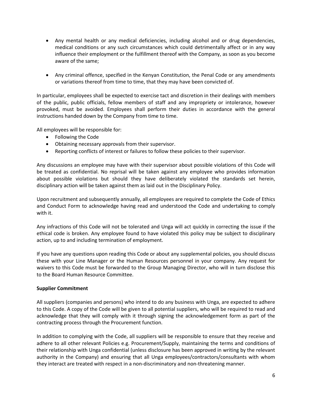- Any mental health or any medical deficiencies, including alcohol and or drug dependencies, medical conditions or any such circumstances which could detrimentally affect or in any way influence their employment or the fulfillment thereof with the Company, as soon as you become aware of the same;
- Any criminal offence, specified in the Kenyan Constitution, the Penal Code or any amendments or variations thereof from time to time, that they may have been convicted of.

In particular, employees shall be expected to exercise tact and discretion in their dealings with members of the public, public officials, fellow members of staff and any impropriety or intolerance, however provoked, must be avoided. Employees shall perform their duties in accordance with the general instructions handed down by the Company from time to time.

All employees will be responsible for:

- Following the Code
- Obtaining necessary approvals from their supervisor.
- Reporting conflicts of interest or failures to follow these policies to their supervisor.

Any discussions an employee may have with their supervisor about possible violations of this Code will be treated as confidential. No reprisal will be taken against any employee who provides information about possible violations but should they have deliberately violated the standards set herein, disciplinary action will be taken against them as laid out in the Disciplinary Policy.

Upon recruitment and subsequently annually, all employees are required to complete the Code of Ethics and Conduct Form to acknowledge having read and understood the Code and undertaking to comply with it.

Any infractions of this Code will not be tolerated and Unga will act quickly in correcting the issue if the ethical code is broken. Any employee found to have violated this policy may be subject to disciplinary action, up to and including termination of employment.

If you have any questions upon reading this Code or about any supplemental policies, you should discuss these with your Line Manager or the Human Resources personnel in your company. Any request for waivers to this Code must be forwarded to the Group Managing Director, who will in turn disclose this to the Board Human Resource Committee.

#### **Supplier Commitment**

All suppliers (companies and persons) who intend to do any business with Unga, are expected to adhere to this Code. A copy of the Code will be given to all potential suppliers, who will be required to read and acknowledge that they will comply with it through signing the acknowledgement form as part of the contracting process through the Procurement function.

In addition to complying with the Code, all suppliers will be responsible to ensure that they receive and adhere to all other relevant Policies e.g. Procurement/Supply, maintaining the terms and conditions of their relationship with Unga confidential (unless disclosure has been approved in writing by the relevant authority in the Company) and ensuring that all Unga employees/contractors/consultants with whom they interact are treated with respect in a non-discriminatory and non-threatening manner.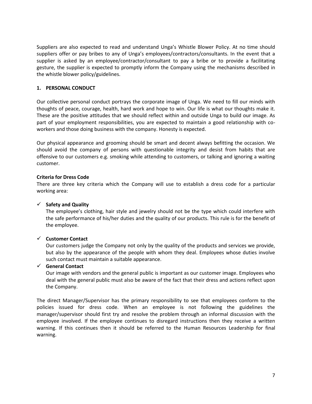Suppliers are also expected to read and understand Unga's Whistle Blower Policy. At no time should suppliers offer or pay bribes to any of Unga's employees/contractors/consultants. In the event that a supplier is asked by an employee/contractor/consultant to pay a bribe or to provide a facilitating gesture, the supplier is expected to promptly inform the Company using the mechanisms described in the whistle blower policy/guidelines.

## **1. PERSONAL CONDUCT**

Our collective personal conduct portrays the corporate image of Unga. We need to fill our minds with thoughts of peace, courage, health, hard work and hope to win. Our life is what our thoughts make it. These are the positive attitudes that we should reflect within and outside Unga to build our image. As part of your employment responsibilities, you are expected to maintain a good relationship with coworkers and those doing business with the company. Honesty is expected.

Our physical appearance and grooming should be smart and decent always befitting the occasion. We should avoid the company of persons with questionable integrity and desist from habits that are offensive to our customers e.g. smoking while attending to customers, or talking and ignoring a waiting customer.

# **Criteria for Dress Code**

There are three key criteria which the Company will use to establish a dress code for a particular working area:

# $\checkmark$  Safety and Quality

The employee's clothing, hair style and jewelry should not be the type which could interfere with the safe performance of his/her duties and the quality of our products. This rule is for the benefit of the employee.

# **Customer Contact**

Our customers judge the Company not only by the quality of the products and services we provide, but also by the appearance of the people with whom they deal. Employees whose duties involve such contact must maintain a suitable appearance.

# **General Contact**

Our image with vendors and the general public is important as our customer image. Employees who deal with the general public must also be aware of the fact that their dress and actions reflect upon the Company.

The direct Manager/Supervisor has the primary responsibility to see that employees conform to the policies issued for dress code. When an employee is not following the guidelines the manager/supervisor should first try and resolve the problem through an informal discussion with the employee involved. If the employee continues to disregard instructions then they receive a written warning. If this continues then it should be referred to the Human Resources Leadership for final warning.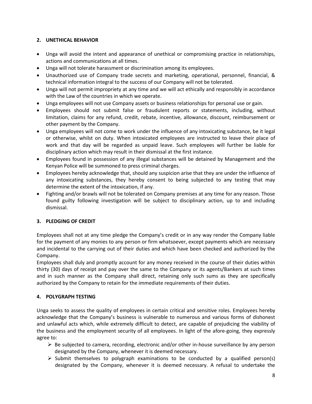# **2. UNETHICAL BEHAVIOR**

- Unga will avoid the intent and appearance of unethical or compromising practice in relationships, actions and communications at all times.
- Unga will not tolerate harassment or discrimination among its employees.
- Unauthorized use of Company trade secrets and marketing, operational, personnel, financial, & technical information integral to the success of our Company will not be tolerated.
- Unga will not permit impropriety at any time and we will act ethically and responsibly in accordance with the Law of the countries in which we operate.
- Unga employees will not use Company assets or business relationships for personal use or gain.
- Employees should not submit false or fraudulent reports or statements, including, without limitation, claims for any refund, credit, rebate, incentive, allowance, discount, reimbursement or other payment by the Company.
- Unga employees will not come to work under the influence of any intoxicating substance, be it legal or otherwise, whilst on duty. When intoxicated employees are instructed to leave their place of work and that day will be regarded as unpaid leave. Such employees will further be liable for disciplinary action which may result in their dismissal at the first instance.
- Employees found in possession of any illegal substances will be detained by Management and the Kenyan Police will be summoned to press criminal charges.
- Employees hereby acknowledge that, should any suspicion arise that they are under the influence of any intoxicating substances, they hereby consent to being subjected to any testing that may determine the extent of the intoxication, if any.
- Fighting and/or brawls will not be tolerated on Company premises at any time for any reason. Those found guilty following investigation will be subject to disciplinary action, up to and including dismissal.

# **3. PLEDGING OF CREDIT**

Employees shall not at any time pledge the Company's credit or in any way render the Company liable for the payment of any monies to any person or firm whatsoever, except payments which are necessary and incidental to the carrying out of their duties and which have been checked and authorized by the Company.

Employees shall duly and promptly account for any money received in the course of their duties within thirty (30) days of receipt and pay over the same to the Company or its agents/Bankers at such times and in such manner as the Company shall direct, retaining only such sums as they are specifically authorized by the Company to retain for the immediate requirements of their duties.

# **4. POLYGRAPH TESTING**

Unga seeks to assess the quality of employees in certain critical and sensitive roles. Employees hereby acknowledge that the Company's business is vulnerable to numerous and various forms of dishonest and unlawful acts which, while extremely difficult to detect, are capable of prejudicing the viability of the business and the employment security of all employees. In light of the afore-going, they expressly agree to:

- $\triangleright$  Be subjected to camera, recording, electronic and/or other in-house surveillance by any person designated by the Company, whenever it is deemed necessary.
- $\triangleright$  Submit themselves to polygraph examinations to be conducted by a qualified person(s) designated by the Company, whenever it is deemed necessary. A refusal to undertake the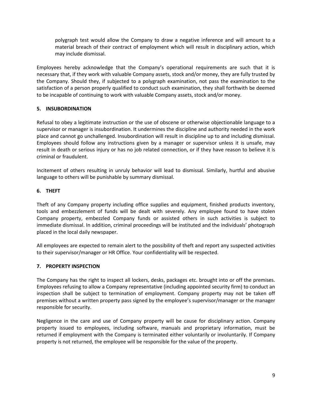polygraph test would allow the Company to draw a negative inference and will amount to a material breach of their contract of employment which will result in disciplinary action, which may include dismissal.

Employees hereby acknowledge that the Company's operational requirements are such that it is necessary that, if they work with valuable Company assets, stock and/or money, they are fully trusted by the Company. Should they, if subjected to a polygraph examination, not pass the examination to the satisfaction of a person properly qualified to conduct such examination, they shall forthwith be deemed to be incapable of continuing to work with valuable Company assets, stock and/or money.

# **5. INSUBORDINATION**

Refusal to obey a legitimate instruction or the use of obscene or otherwise objectionable language to a supervisor or manager is insubordination. It undermines the discipline and authority needed in the work place and cannot go unchallenged. Insubordination will result in discipline up to and including dismissal. Employees should follow any instructions given by a manager or supervisor unless it is unsafe, may result in death or serious injury or has no job related connection, or if they have reason to believe it is criminal or fraudulent.

Incitement of others resulting in unruly behavior will lead to dismissal. Similarly, hurtful and abusive language to others will be punishable by summary dismissal.

# **6. THEFT**

Theft of any Company property including office supplies and equipment, finished products inventory, tools and embezzlement of funds will be dealt with severely. Any employee found to have stolen Company property, embezzled Company funds or assisted others in such activities is subject to immediate dismissal. In addition, criminal proceedings will be instituted and the individuals' photograph placed in the local daily newspaper.

All employees are expected to remain alert to the possibility of theft and report any suspected activities to their supervisor/manager or HR Office. Your confidentiality will be respected.

## **7. PROPERTY INSPECTION**

The Company has the right to inspect all lockers, desks, packages etc. brought into or off the premises. Employees refusing to allow a Company representative (including appointed security firm) to conduct an inspection shall be subject to termination of employment. Company property may not be taken off premises without a written property pass signed by the employee's supervisor/manager or the manager responsible for security.

Negligence in the care and use of Company property will be cause for disciplinary action. Company property issued to employees, including software, manuals and proprietary information, must be returned if employment with the Company is terminated either voluntarily or involuntarily. If Company property is not returned, the employee will be responsible for the value of the property.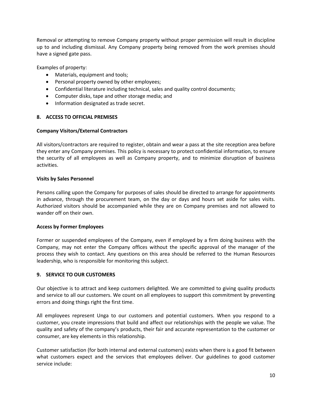Removal or attempting to remove Company property without proper permission will result in discipline up to and including dismissal. Any Company property being removed from the work premises should have a signed gate pass.

Examples of property:

- Materials, equipment and tools;
- Personal property owned by other employees;
- Confidential literature including technical, sales and quality control documents;
- Computer disks, tape and other storage media; and
- Information designated as trade secret.

## **8. ACCESS TO OFFICIAL PREMISES**

#### **Company Visitors/External Contractors**

All visitors/contractors are required to register, obtain and wear a pass at the site reception area before they enter any Company premises. This policy is necessary to protect confidential information, to ensure the security of all employees as well as Company property, and to minimize disruption of business activities.

#### **Visits by Sales Personnel**

Persons calling upon the Company for purposes of sales should be directed to arrange for appointments in advance, through the procurement team, on the day or days and hours set aside for sales visits. Authorized visitors should be accompanied while they are on Company premises and not allowed to wander off on their own.

## **Access by Former Employees**

Former or suspended employees of the Company, even if employed by a firm doing business with the Company, may not enter the Company offices without the specific approval of the manager of the process they wish to contact. Any questions on this area should be referred to the Human Resources leadership, who is responsible for monitoring this subject.

## **9. SERVICE TO OUR CUSTOMERS**

Our objective is to attract and keep customers delighted. We are committed to giving quality products and service to all our customers. We count on all employees to support this commitment by preventing errors and doing things right the first time.

All employees represent Unga to our customers and potential customers. When you respond to a customer, you create impressions that build and affect our relationships with the people we value. The quality and safety of the company's products, their fair and accurate representation to the customer or consumer, are key elements in this relationship.

Customer satisfaction (for both internal and external customers) exists when there is a good fit between what customers expect and the services that employees deliver. Our guidelines to good customer service include: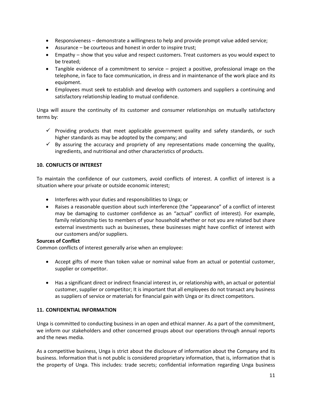- Responsiveness demonstrate a willingness to help and provide prompt value added service;
- Assurance be courteous and honest in order to inspire trust;
- Empathy show that you value and respect customers. Treat customers as you would expect to be treated;
- Tangible evidence of a commitment to service project a positive, professional image on the telephone, in face to face communication, in dress and in maintenance of the work place and its equipment.
- Employees must seek to establish and develop with customers and suppliers a continuing and satisfactory relationship leading to mutual confidence.

Unga will assure the continuity of its customer and consumer relationships on mutually satisfactory terms by:

- $\checkmark$  Providing products that meet applicable government quality and safety standards, or such higher standards as may be adopted by the company; and
- $\checkmark$  By assuring the accuracy and propriety of any representations made concerning the quality, ingredients, and nutritional and other characteristics of products.

# **10. CONFLICTS OF INTEREST**

To maintain the confidence of our customers, avoid conflicts of interest. A conflict of interest is a situation where your private or outside economic interest;

- Interferes with your duties and responsibilities to Unga; or
- Raises a reasonable question about such interference (the "appearance" of a conflict of interest may be damaging to customer confidence as an "actual" conflict of interest). For example, family relationship ties to members of your household whether or not you are related but share external investments such as businesses, these businesses might have conflict of interest with our customers and/or suppliers.

## **Sources of Conflict**

Common conflicts of interest generally arise when an employee:

- Accept gifts of more than token value or nominal value from an actual or potential customer, supplier or competitor.
- Has a significant direct or indirect financial interest in, or relationship with, an actual or potential customer, supplier or competitor; It is important that all employees do not transact any business as suppliers of service or materials for financial gain with Unga or its direct competitors.

## **11. CONFIDENTIAL INFORMATION**

Unga is committed to conducting business in an open and ethical manner. As a part of the commitment, we inform our stakeholders and other concerned groups about our operations through annual reports and the news media.

As a competitive business, Unga is strict about the disclosure of information about the Company and its business. Information that is not public is considered proprietary information, that is, information that is the property of Unga. This includes: trade secrets; confidential information regarding Unga business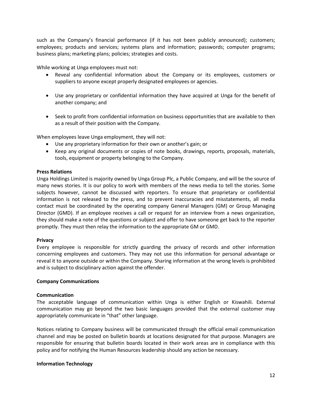such as the Company's financial performance (if it has not been publicly announced); customers; employees; products and services; systems plans and information; passwords; computer programs; business plans; marketing plans; policies; strategies and costs.

While working at Unga employees must not:

- Reveal any confidential information about the Company or its employees, customers or suppliers to anyone except properly designated employees or agencies.
- Use any proprietary or confidential information they have acquired at Unga for the benefit of another company; and
- Seek to profit from confidential information on business opportunities that are available to then as a result of their position with the Company.

When employees leave Unga employment, they will not:

- Use any proprietary information for their own or another's gain; or
- Keep any original documents or copies of note books, drawings, reports, proposals, materials, tools, equipment or property belonging to the Company.

## **Press Relations**

Unga Holdings Limited is majority owned by Unga Group Plc, a Public Company, and will be the source of many news stories. It is our policy to work with members of the news media to tell the stories. Some subjects however, cannot be discussed with reporters. To ensure that proprietary or confidential information is not released to the press, and to prevent inaccuracies and misstatements, all media contact must be coordinated by the operating company General Managers (GM) or Group Managing Director (GMD). If an employee receives a call or request for an interview from a news organization, they should make a note of the questions or subject and offer to have someone get back to the reporter promptly. They must then relay the information to the appropriate GM or GMD.

## **Privacy**

Every employee is responsible for strictly guarding the privacy of records and other information concerning employees and customers. They may not use this information for personal advantage or reveal it to anyone outside or within the Company. Sharing information at the wrong levels is prohibited and is subject to disciplinary action against the offender.

## **Company Communications**

## **Communication**

The acceptable language of communication within Unga is either English or Kiswahili. External communication may go beyond the two basic languages provided that the external customer may appropriately communicate in "that" other language.

Notices relating to Company business will be communicated through the official email communication channel and may be posted on bulletin boards at locations designated for that purpose. Managers are responsible for ensuring that bulletin boards located in their work areas are in compliance with this policy and for notifying the Human Resources leadership should any action be necessary.

## **Information Technology**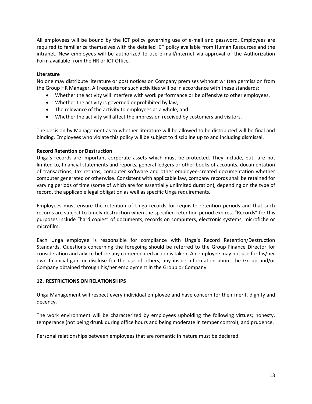All employees will be bound by the ICT policy governing use of e-mail and password. Employees are required to familiarize themselves with the detailed ICT policy available from Human Resources and the intranet. New employees will be authorized to use e-mail/internet via approval of the Authorization Form available from the HR or ICT Office.

## **Literature**

No one may distribute literature or post notices on Company premises without written permission from the Group HR Manager. All requests for such activities will be in accordance with these standards:

- Whether the activity will interfere with work performance or be offensive to other employees.
- Whether the activity is governed or prohibited by law;
- The relevance of the activity to employees as a whole; and
- Whether the activity will affect the impression received by customers and visitors.

The decision by Management as to whether literature will be allowed to be distributed will be final and binding. Employees who violate this policy will be subject to discipline up to and including dismissal.

## **Record Retention or Destruction**

Unga's records are important corporate assets which must be protected. They include, but are not limited to, financial statements and reports, general ledgers or other books of accounts, documentation of transactions, tax returns, computer software and other employee-created documentation whether computer generated or otherwise. Consistent with applicable law, company records shall be retained for varying periods of time (some of which are for essentially unlimited duration), depending on the type of record, the applicable legal obligation as well as specific Unga requirements.

Employees must ensure the retention of Unga records for requisite retention periods and that such records are subject to timely destruction when the specified retention period expires. "Records" for this purposes include "hard copies" of documents, records on computers, electronic systems, microfiche or microfilm.

Each Unga employee is responsible for compliance with Unga's Record Retention/Destruction Standards. Questions concerning the foregoing should be referred to the Group Finance Director for consideration and advice before any contemplated action is taken. An employee may not use for his/her own financial gain or disclose for the use of others, any inside information about the Group and/or Company obtained through his/her employment in the Group or Company.

## **12. RESTRICTIONS ON RELATIONSHIPS**

Unga Management will respect every individual employee and have concern for their merit, dignity and decency.

The work environment will be characterized by employees upholding the following virtues; honesty, temperance (not being drunk during office hours and being moderate in temper control); and prudence.

Personal relationships between employees that are romantic in nature must be declared.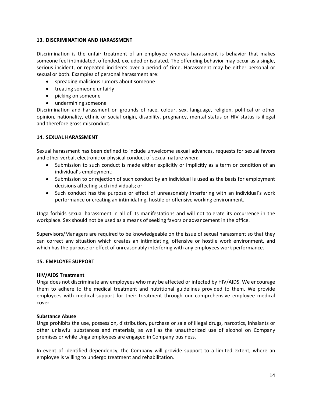## **13. DISCRIMINATION AND HARASSMENT**

Discrimination is the unfair treatment of an employee whereas harassment is behavior that makes someone feel intimidated, offended, excluded or isolated. The offending behavior may occur as a single, serious incident, or repeated incidents over a period of time. Harassment may be either personal or sexual or both. Examples of personal harassment are:

- spreading malicious rumors about someone
- treating someone unfairly
- picking on someone
- undermining someone

Discrimination and harassment on grounds of race, colour, sex, language, religion, political or other opinion, nationality, ethnic or social origin, disability, pregnancy, mental status or HIV status is illegal and therefore gross misconduct.

#### **14. SEXUAL HARASSMENT**

Sexual harassment has been defined to include unwelcome sexual advances, requests for sexual favors and other verbal, electronic or physical conduct of sexual nature when:-

- Submission to such conduct is made either explicitly or implicitly as a term or condition of an individual's employment;
- Submission to or rejection of such conduct by an individual is used as the basis for employment decisions affecting such individuals; or
- Such conduct has the purpose or effect of unreasonably interfering with an individual's work performance or creating an intimidating, hostile or offensive working environment.

Unga forbids sexual harassment in all of its manifestations and will not tolerate its occurrence in the workplace. Sex should not be used as a means of seeking favors or advancement in the office.

Supervisors/Managers are required to be knowledgeable on the issue of sexual harassment so that they can correct any situation which creates an intimidating, offensive or hostile work environment, and which has the purpose or effect of unreasonably interfering with any employees work performance.

## **15. EMPLOYEE SUPPORT**

## **HIV/AIDS Treatment**

Unga does not discriminate any employees who may be affected or infected by HIV/AIDS. We encourage them to adhere to the medical treatment and nutritional guidelines provided to them. We provide employees with medical support for their treatment through our comprehensive employee medical cover.

#### **Substance Abuse**

Unga prohibits the use, possession, distribution, purchase or sale of illegal drugs, narcotics, inhalants or other unlawful substances and materials, as well as the unauthorized use of alcohol on Company premises or while Unga employees are engaged in Company business.

In event of identified dependency, the Company will provide support to a limited extent, where an employee is willing to undergo treatment and rehabilitation.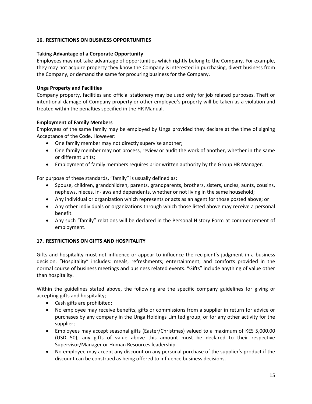# **16. RESTRICTIONS ON BUSINESS OPPORTUNITIES**

## **Taking Advantage of a Corporate Opportunity**

Employees may not take advantage of opportunities which rightly belong to the Company. For example, they may not acquire property they know the Company is interested in purchasing, divert business from the Company, or demand the same for procuring business for the Company.

## **Unga Property and Facilities**

Company property, facilities and official stationery may be used only for job related purposes. Theft or intentional damage of Company property or other employee's property will be taken as a violation and treated within the penalties specified in the HR Manual.

# **Employment of Family Members**

Employees of the same family may be employed by Unga provided they declare at the time of signing Acceptance of the Code. However:

- One family member may not directly supervise another;
- One family member may not process, review or audit the work of another, whether in the same or different units;
- Employment of family members requires prior written authority by the Group HR Manager.

For purpose of these standards, "family" is usually defined as:

- Spouse, children, grandchildren, parents, grandparents, brothers, sisters, uncles, aunts, cousins, nephews, nieces, in-laws and dependents, whether or not living in the same household;
- Any individual or organization which represents or acts as an agent for those posted above; or
- Any other individuals or organizations through which those listed above may receive a personal benefit.
- Any such "family" relations will be declared in the Personal History Form at commencement of employment.

# **17. RESTRICTIONS ON GIFTS AND HOSPITALITY**

Gifts and hospitality must not influence or appear to influence the recipient's judgment in a business decision. "Hospitality" includes: meals, refreshments; entertainment; and comforts provided in the normal course of business meetings and business related events. "Gifts" include anything of value other than hospitality.

Within the guidelines stated above, the following are the specific company guidelines for giving or accepting gifts and hospitality;

- Cash gifts are prohibited;
- No employee may receive benefits, gifts or commissions from a supplier in return for advice or purchases by any company in the Unga Holdings Limited group, or for any other activity for the supplier;
- Employees may accept seasonal gifts (Easter/Christmas) valued to a maximum of KES 5,000.00 (USD 50); any gifts of value above this amount must be declared to their respective Supervisor/Manager or Human Resources leadership.
- No employee may accept any discount on any personal purchase of the supplier's product if the discount can be construed as being offered to influence business decisions.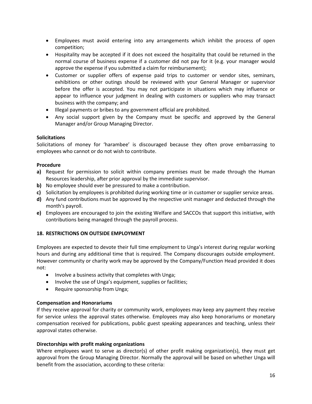- Employees must avoid entering into any arrangements which inhibit the process of open competition;
- Hospitality may be accepted if it does not exceed the hospitality that could be returned in the normal course of business expense if a customer did not pay for it (e.g. your manager would approve the expense if you submitted a claim for reimbursement);
- Customer or supplier offers of expense paid trips to customer or vendor sites, seminars, exhibitions or other outings should be reviewed with your General Manager or supervisor before the offer is accepted. You may not participate in situations which may influence or appear to influence your judgment in dealing with customers or suppliers who may transact business with the company; and
- Illegal payments or bribes to any government official are prohibited.
- Any social support given by the Company must be specific and approved by the General Manager and/or Group Managing Director.

## **Solicitations**

Solicitations of money for 'harambee' is discouraged because they often prove embarrassing to employees who cannot or do not wish to contribute.

# **Procedure**

- **a)** Request for permission to solicit within company premises must be made through the Human Resources leadership, after prior approval by the immediate supervisor.
- **b)** No employee should ever be pressured to make a contribution.
- **c)** Solicitation by employees is prohibited during working time or in customer or supplier service areas.
- **d)** Any fund contributions must be approved by the respective unit manager and deducted through the month's payroll.
- **e)** Employees are encouraged to join the existing Welfare and SACCOs that support this initiative, with contributions being managed through the payroll process.

# **18. RESTRICTIONS ON OUTSIDE EMPLOYMENT**

Employees are expected to devote their full time employment to Unga's interest during regular working hours and during any additional time that is required. The Company discourages outside employment. However community or charity work may be approved by the Company/Function Head provided it does not:

- Involve a business activity that completes with Unga;
- Involve the use of Unga's equipment, supplies or facilities;
- Require sponsorship from Unga;

## **Compensation and Honorariums**

If they receive approval for charity or community work, employees may keep any payment they receive for service unless the approval states otherwise. Employees may also keep honorariums or monetary compensation received for publications, public guest speaking appearances and teaching, unless their approval states otherwise.

## **Directorships with profit making organizations**

Where employees want to serve as director(s) of other profit making organization(s), they must get approval from the Group Managing Director. Normally the approval will be based on whether Unga will benefit from the association, according to these criteria: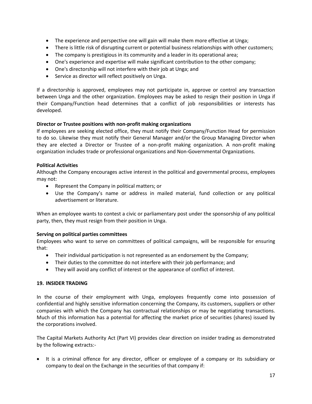- The experience and perspective one will gain will make them more effective at Unga;
- There is little risk of disrupting current or potential business relationships with other customers;
- The company is prestigious in its community and a leader in its operational area;
- One's experience and expertise will make significant contribution to the other company;
- One's directorship will not interfere with their job at Unga; and
- Service as director will reflect positively on Unga.

If a directorship is approved, employees may not participate in, approve or control any transaction between Unga and the other organization. Employees may be asked to resign their position in Unga if their Company/Function head determines that a conflict of job responsibilities or interests has developed.

# **Director or Trustee positions with non-profit making organizations**

If employees are seeking elected office, they must notify their Company/Function Head for permission to do so. Likewise they must notify their General Manager and/or the Group Managing Director when they are elected a Director or Trustee of a non-profit making organization. A non-profit making organization includes trade or professional organizations and Non-Governmental Organizations.

# **Political Activities**

Although the Company encourages active interest in the political and governmental process, employees may not:

- Represent the Company in political matters; or
- Use the Company's name or address in mailed material, fund collection or any political advertisement or literature.

When an employee wants to contest a civic or parliamentary post under the sponsorship of any political party, then, they must resign from their position in Unga.

# **Serving on political parties committees**

Employees who want to serve on committees of political campaigns, will be responsible for ensuring that:

- Their individual participation is not represented as an endorsement by the Company;
- Their duties to the committee do not interfere with their job performance; and
- They will avoid any conflict of interest or the appearance of conflict of interest.

# **19. INSIDER TRADING**

In the course of their employment with Unga, employees frequently come into possession of confidential and highly sensitive information concerning the Company, its customers, suppliers or other companies with which the Company has contractual relationships or may be negotiating transactions. Much of this information has a potential for affecting the market price of securities (shares) issued by the corporations involved.

The Capital Markets Authority Act (Part VI) provides clear direction on insider trading as demonstrated by the following extracts:-

• It is a criminal offence for any director, officer or employee of a company or its subsidiary or company to deal on the Exchange in the securities of that company if: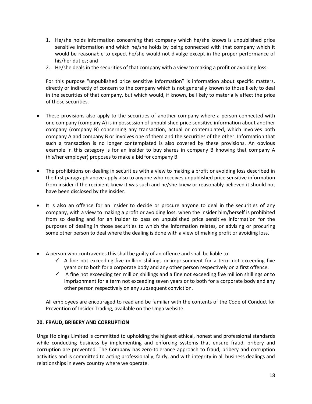- 1. He/she holds information concerning that company which he/she knows is unpublished price sensitive information and which he/she holds by being connected with that company which it would be reasonable to expect he/she would not divulge except in the proper performance of his/her duties; and
- 2. He/she deals in the securities of that company with a view to making a profit or avoiding loss.

For this purpose "unpublished price sensitive information" is information about specific matters, directly or indirectly of concern to the company which is not generally known to those likely to deal in the securities of that company, but which would, if known, be likely to materially affect the price of those securities.

- These provisions also apply to the securities of another company where a person connected with one company (company A) is in possession of unpublished price sensitive information about another company (company B) concerning any transaction, actual or contemplated, which involves both company A and company B or involves one of them and the securities of the other. Information that such a transaction is no longer contemplated is also covered by these provisions. An obvious example in this category is for an insider to buy shares in company B knowing that company A (his/her employer) proposes to make a bid for company B.
- The prohibitions on dealing in securities with a view to making a profit or avoiding loss described in the first paragraph above apply also to anyone who receives unpublished price sensitive information from insider if the recipient knew it was such and he/she knew or reasonably believed it should not have been disclosed by the insider.
- It is also an offence for an insider to decide or procure anyone to deal in the securities of any company, with a view to making a profit or avoiding loss, when the insider him/herself is prohibited from so dealing and for an insider to pass on unpublished price sensitive information for the purposes of dealing in those securities to which the information relates, or advising or procuring some other person to deal where the dealing is done with a view of making profit or avoiding loss.
- A person who contravenes this shall be guilty of an offence and shall be liable to:
	- $\checkmark$  A fine not exceeding five million shillings or imprisonment for a term not exceeding five years or to both for a corporate body and any other person respectively on a first offence.
	- $\checkmark$  A fine not exceeding ten million shillings and a fine not exceeding five million shillings or to imprisonment for a term not exceeding seven years or to both for a corporate body and any other person respectively on any subsequent conviction.

All employees are encouraged to read and be familiar with the contents of the Code of Conduct for Prevention of Insider Trading, available on the Unga website.

## **20. FRAUD, BRIBERY AND CORRUPTION**

Unga Holdings Limited is committed to upholding the highest ethical, honest and professional standards while conducting business by implementing and enforcing systems that ensure fraud, bribery and corruption are prevented. The Company has zero-tolerance approach to fraud, bribery and corruption activities and is committed to acting professionally, fairly, and with integrity in all business dealings and relationships in every country where we operate.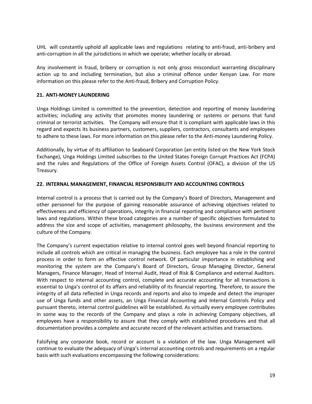UHL will constantly uphold all applicable laws and regulations relating to anti-fraud, anti-bribery and anti-corruption in all the jurisdictions in which we operate; whether locally or abroad.

Any involvement in fraud, bribery or corruption is not only gross misconduct warranting disciplinary action up to and including termination, but also a criminal offence under Kenyan Law. For more information on this please refer to the Anti-fraud, Bribery and Corruption Policy.

## **21. ANTI-MONEY LAUNDERING**

Unga Holdings Limited is committed to the prevention, detection and reporting of money laundering activities; including any activity that promotes money laundering or systems or persons that fund criminal or terrorist activities. The Company will ensure that it is compliant with applicable laws in this regard and expects its business partners, customers, suppliers, contractors, consultants and employees to adhere to these laws. For more information on this please refer to the Anti-money Laundering Policy.

Additionally, by virtue of its affiliation to Seaboard Corporation (an entity listed on the New York Stock Exchange), Unga Holdings Limited subscribes to the United States Foreign Corrupt Practices Act (FCPA) and the rules and Regulations of the Office of Foreign Assets Control (OFAC), a division of the US Treasury.

## **22. INTERNAL MANAGEMENT, FINANCIAL RESPONSIBILITY AND ACCOUNTING CONTROLS**

Internal control is a process that is carried out by the Company's Board of Directors, Management and other personnel for the purpose of gaining reasonable assurance of achieving objectives related to effectiveness and efficiency of operations, integrity in financial reporting and compliance with pertinent laws and regulations. Within these broad categories are a number of specific objectives formulated to address the size and scope of activities, management philosophy, the business environment and the culture of the Company.

The Company's current expectation relative to internal control goes well beyond financial reporting to include all controls which are critical in managing the business. Each employee has a role in the control process in order to form an effective control network. Of particular importance in establishing and monitoring the system are the Company's Board of Directors, Group Managing Director, General Managers, Finance Manager, Head of Internal Audit, Head of Risk & Compliance and external Auditors. With respect to internal accounting control, complete and accurate accounting for all transactions is essential to Unga's control of its affairs and reliability of its financial reporting. Therefore, to assure the integrity of all data reflected in Unga records and reports and also to impede and detect the improper use of Unga funds and other assets, an Unga Financial Accounting and Internal Controls Policy and pursuant thereto, internal control guidelines will be established. As virtually every employee contributes in some way to the records of the Company and plays a role in achieving Company objectives, all employees have a responsibility to assure that they comply with established procedures and that all documentation provides a complete and accurate record of the relevant activities and transactions.

Falsifying any corporate book, record or account is a violation of the law. Unga Management will continue to evaluate the adequacy of Unga's internal accounting controls and requirements on a regular basis with such evaluations encompassing the following considerations: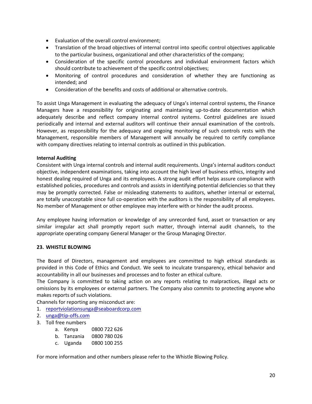- Evaluation of the overall control environment;
- Translation of the broad objectives of internal control into specific control objectives applicable to the particular business, organizational and other characteristics of the company;
- Consideration of the specific control procedures and individual environment factors which should contribute to achievement of the specific control objectives;
- Monitoring of control procedures and consideration of whether they are functioning as intended; and
- Consideration of the benefits and costs of additional or alternative controls.

To assist Unga Management in evaluating the adequacy of Unga's internal control systems, the Finance Managers have a responsibility for originating and maintaining up-to-date documentation which adequately describe and reflect company internal control systems. Control guidelines are issued periodically and internal and external auditors will continue their annual examination of the controls. However, as responsibility for the adequacy and ongoing monitoring of such controls rests with the Management, responsible members of Management will annually be required to certify compliance with company directives relating to internal controls as outlined in this publication.

## **Internal Auditing**

Consistent with Unga internal controls and internal audit requirements. Unga's internal auditors conduct objective, independent examinations, taking into account the high level of business ethics, integrity and honest dealing required of Unga and its employees. A strong audit effort helps assure compliance with established policies, procedures and controls and assists in identifying potential deficiencies so that they may be promptly corrected. False or misleading statements to auditors, whether internal or external, are totally unacceptable since full co-operation with the auditors is the responsibility of all employees. No member of Management or other employee may interfere with or hinder the audit process.

Any employee having information or knowledge of any unrecorded fund, asset or transaction or any similar irregular act shall promptly report such matter, through internal audit channels, to the appropriate operating company General Manager or the Group Managing Director.

## **23. WHISTLE BLOWING**

The Board of Directors, management and employees are committed to high ethical standards as provided in this Code of Ethics and Conduct. We seek to inculcate transparency, ethical behavior and accountability in all our businesses and processes and to foster an ethical culture.

The Company is committed to taking action on any reports relating to malpractices, illegal acts or omissions by its employees or external partners. The Company also commits to protecting anyone who makes reports of such violations.

Channels for reporting any misconduct are:

- 1. [reportviolationsunga@seaboardcorp.com](mailto:reportviolationsunga@seaboardcorp.com)
- 2. [unga@tip-offs.com](mailto:unga@tip-offs.com)
- 3. Toll free numbers
	- a. Kenya 0800 722 626
	- b. Tanzania 0800 780 026
	- c. Uganda 0800 100 255

For more information and other numbers please refer to the Whistle Blowing Policy.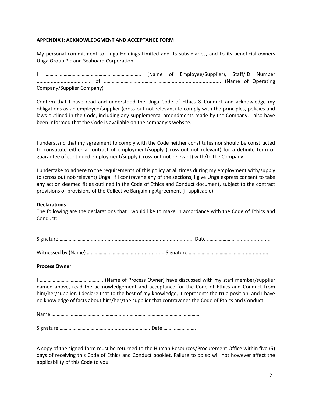## **APPENDIX I: ACKNOWLEDGMENT AND ACCEPTANCE FORM**

My personal commitment to Unga Holdings Limited and its subsidiaries, and to its beneficial owners Unga Group Plc and Seaboard Corporation.

I ………………………………………………………………… (Name of Employee/Supplier), Staff/ID Number ....................................... of ………………………....…………………................................... (Name of Operating Company/Supplier Company)

Confirm that I have read and understood the Unga Code of Ethics & Conduct and acknowledge my obligations as an employee/supplier (cross-out not relevant) to comply with the principles, policies and laws outlined in the Code, including any supplemental amendments made by the Company. I also have been informed that the Code is available on the company's website.

I understand that my agreement to comply with the Code neither constitutes nor should be constructed to constitute either a contract of employment/supply (cross-out not relevant) for a definite term or guarantee of continued employment/supply (cross-out not-relevant) with/to the Company.

I undertake to adhere to the requirements of this policy at all times during my employment with/supply to (cross out not-relevant) Unga. If I contravene any of the sections, I give Unga express consent to take any action deemed fit as outlined in the Code of Ethics and Conduct document, subject to the contract provisions or provisions of the Collective Bargaining Agreement (if applicable).

## **Declarations**

The following are the declarations that I would like to make in accordance with the Code of Ethics and Conduct:

Witnessed by (Name) ………………………………………………………… Signature ………………………………………………………………………

## **Process Owner**

I …………………………………………. (Name of Process Owner) have discussed with my staff member/supplier named above, read the acknowledgement and acceptance for the Code of Ethics and Conduct from him/her/supplier. I declare that to the best of my knowledge, it represents the true position, and I have no knowledge of facts about him/her/the supplier that contravenes the Code of Ethics and Conduct.

Name ………………………………………………......………………………………………………

Signature ……………………………….....................……….. Date …………………….

A copy of the signed form must be returned to the Human Resources/Procurement Office within five (5) days of receiving this Code of Ethics and Conduct booklet. Failure to do so will not however affect the applicability of this Code to you.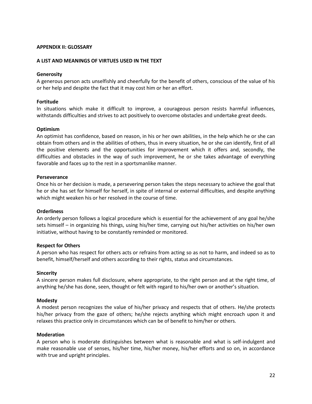#### **APPENDIX II: GLOSSARY**

#### **A LIST AND MEANINGS OF VIRTUES USED IN THE TEXT**

#### **Generosity**

A generous person acts unselfishly and cheerfully for the benefit of others, conscious of the value of his or her help and despite the fact that it may cost him or her an effort.

#### **Fortitude**

In situations which make it difficult to improve, a courageous person resists harmful influences, withstands difficulties and strives to act positively to overcome obstacles and undertake great deeds.

#### **Optimism**

An optimist has confidence, based on reason, in his or her own abilities, in the help which he or she can obtain from others and in the abilities of others, thus in every situation, he or she can identify, first of all the positive elements and the opportunities for improvement which it offers and, secondly, the difficulties and obstacles in the way of such improvement, he or she takes advantage of everything favorable and faces up to the rest in a sportsmanlike manner.

#### **Perseverance**

Once his or her decision is made, a persevering person takes the steps necessary to achieve the goal that he or she has set for himself for herself, in spite of internal or external difficulties, and despite anything which might weaken his or her resolved in the course of time.

#### **Orderliness**

An orderly person follows a logical procedure which is essential for the achievement of any goal he/she sets himself – in organizing his things, using his/her time, carrying out his/her activities on his/her own initiative, without having to be constantly reminded or monitored.

#### **Respect for Others**

A person who has respect for others acts or refrains from acting so as not to harm, and indeed so as to benefit, himself/herself and others according to their rights, status and circumstances.

#### **Sincerity**

A sincere person makes full disclosure, where appropriate, to the right person and at the right time, of anything he/she has done, seen, thought or felt with regard to his/her own or another's situation.

#### **Modesty**

A modest person recognizes the value of his/her privacy and respects that of others. He/she protects his/her privacy from the gaze of others; he/she rejects anything which might encroach upon it and relaxes this practice only in circumstances which can be of benefit to him/her or others.

#### **Moderation**

A person who is moderate distinguishes between what is reasonable and what is self-indulgent and make reasonable use of senses, his/her time, his/her money, his/her efforts and so on, in accordance with true and upright principles.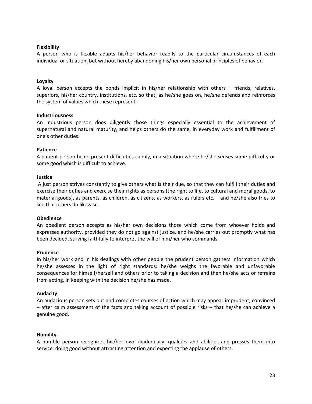#### **Flexibility**

A person who is flexible adapts his/her behavior readily to the particular circumstances of each individual or situation, but without hereby abandoning his/her own personal principles of behavior.

#### **Loyalty**

A loyal person accepts the bonds implicit in his/her relationship with others – friends, relatives, superiors, his/her country, institutions, etc. so that, as he/she goes on, he/she defends and reinforces the system of values which these represent.

#### **Industriousness**

An industrious person does diligently those things especially essential to the achievement of supernatural and natural maturity, and helps others do the same, in everyday work and fulfillment of one's other duties.

#### **Patience**

A patient person bears present difficulties calmly, in a situation where he/she senses some difficulty or some good which is difficult to achieve.

#### **Justice**

A just person strives constantly to give others what is their due, so that they can fulfill their duties and exercise their duties and exercise their rights as persons (the right to life, to cultural and moral goods, to material goods), as parents, as children, as citizens, as workers, as rulers etc. – and he/she also tries to see that others do likewise.

#### **Obedience**

An obedient person accepts as his/her own decisions those which come from whoever holds and expresses authority, provided they do not go against justice, and he/she carries out promptly what has been decided, striving faithfully to interpret the will of him/her who commands.

#### **Prudence**

In his/her work and in his dealings with other people the prudent person gathers information which he/she assesses in the light of right standards: he/she weighs the favorable and unfavorable consequences for himself/herself and others prior to taking a decision and then he/she acts or refrains from acting, in keeping with the decision he/she has made.

#### **Audacity**

An audacious person sets out and completes courses of action which may appear imprudent, convinced – after calm assessment of the facts and taking account of possible risks – that he/she can achieve a genuine good.

#### **Humility**

A humble person recognizes his/her own inadequacy, qualities and abilities and presses them into service, doing good without attracting attention and expecting the applause of others.